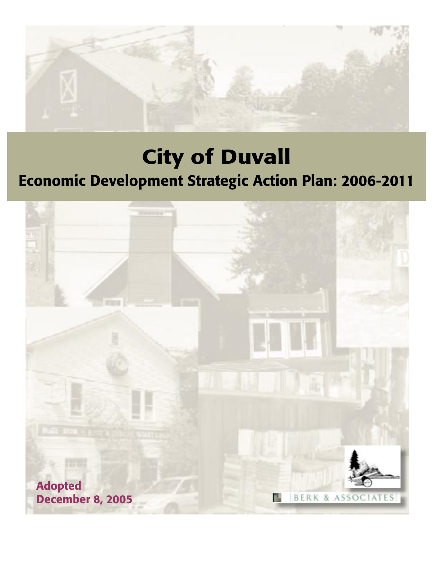

# City of Duvall

# Economic Development Strategic Action Plan: 2006-2011

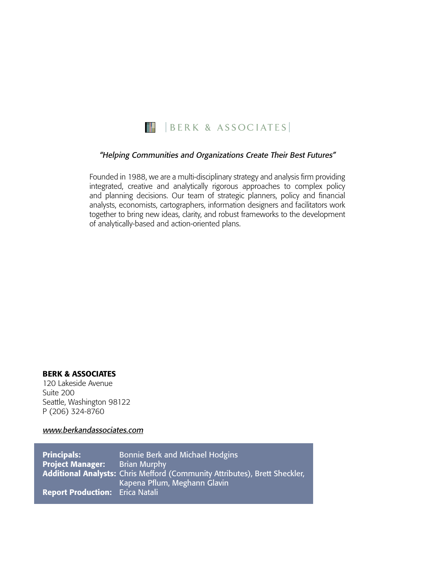

#### "Helping Communities and Organizations Create Their Best Futures"

Founded in 1988, we are a multi-disciplinary strategy and analysis firm providing integrated, creative and analytically rigorous approaches to complex policy and planning decisions. Our team of strategic planners, policy and financial analysts, economists, cartographers, information designers and facilitators work together to bring new ideas, clarity, and robust frameworks to the development of analytically-based and action-oriented plans.

#### BERK & ASSOCIATES

120 Lakeside Avenue Suite 200 Seattle, Washington 98122 P (206) 324-8760

www.berkandassociates.com

**Principals:** Bonnie Berk and Michael Hodgins **Project Manager:** Brian Murphy Additional Analysts: Chris Mefford (Community Attributes), Brett Sheckler, Kapena Pflum, Meghann Glavin Report Production: Erica Natali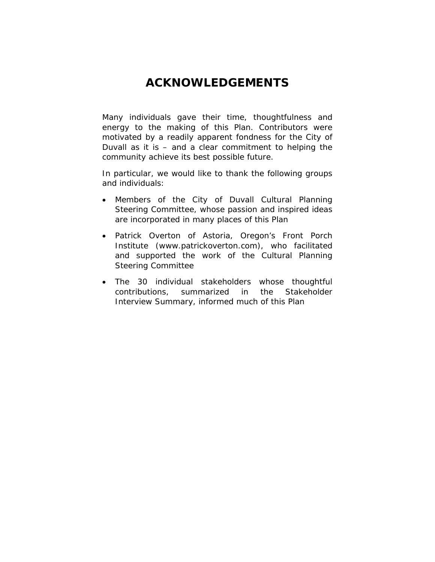# **ACKNOWLEDGEMENTS**

Many individuals gave their time, thoughtfulness and energy to the making of this Plan. Contributors were motivated by a readily apparent fondness for the City of Duvall as it is – and a clear commitment to helping the community achieve its best possible future.

In particular, we would like to thank the following groups and individuals:

- Members of the City of Duvall Cultural Planning Steering Committee, whose passion and inspired ideas are incorporated in many places of this Plan
- Patrick Overton of Astoria, Oregon's Front Porch Institute (www.patrickoverton.com), who facilitated and supported the work of the Cultural Planning Steering Committee
- The 30 individual stakeholders whose thoughtful contributions, summarized in the Stakeholder Interview Summary, informed much of this Plan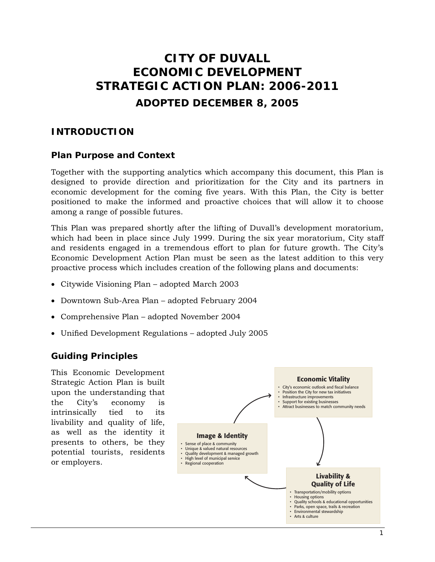# **CITY OF DUVALL ECONOMIC DEVELOPMENT STRATEGIC ACTION PLAN: 2006-2011 ADOPTED DECEMBER 8, 2005**

# **INTRODUCTION**

#### **Plan Purpose and Context**

Together with the supporting analytics which accompany this document, this Plan is designed to provide direction and prioritization for the City and its partners in economic development for the coming five years. With this Plan, the City is better positioned to make the informed and proactive choices that will allow it to choose among a range of possible futures.

This Plan was prepared shortly after the lifting of Duvall's development moratorium, which had been in place since July 1999. During the six year moratorium, City staff and residents engaged in a tremendous effort to plan for future growth. The City's Economic Development Action Plan must be seen as the latest addition to this very proactive process which includes creation of the following plans and documents:

- Citywide Visioning Plan adopted March 2003
- Downtown Sub-Area Plan adopted February 2004
- Comprehensive Plan adopted November 2004
- Unified Development Regulations adopted July 2005

## **Guiding Principles**

This Economic Development Strategic Action Plan is built upon the understanding that the City's economy is intrinsically tied to its livability and quality of life, as well as the identity it presents to others, be they potential tourists, residents or employers.

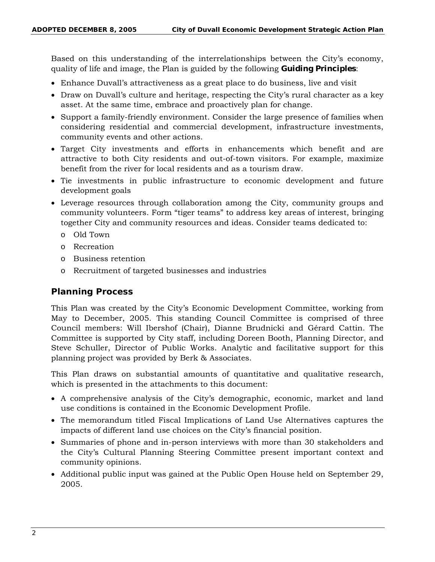Based on this understanding of the interrelationships between the City's economy, quality of life and image, the Plan is guided by the following **Guiding Principles**:

- Enhance Duvall's attractiveness as a great place to do business, live and visit
- Draw on Duvall's culture and heritage, respecting the City's rural character as a key asset. At the same time, embrace and proactively plan for change.
- Support a family-friendly environment. Consider the large presence of families when considering residential and commercial development, infrastructure investments, community events and other actions.
- Target City investments and efforts in enhancements which benefit and are attractive to both City residents and out-of-town visitors. For example, maximize benefit from the river for local residents and as a tourism draw.
- Tie investments in public infrastructure to economic development and future development goals
- Leverage resources through collaboration among the City, community groups and community volunteers. Form "tiger teams" to address key areas of interest, bringing together City and community resources and ideas. Consider teams dedicated to:
	- o Old Town
	- o Recreation
	- o Business retention
	- o Recruitment of targeted businesses and industries

#### **Planning Process**

This Plan was created by the City's Economic Development Committee, working from May to December, 2005. This standing Council Committee is comprised of three Council members: Will Ibershof (Chair), Dianne Brudnicki and Gérard Cattin. The Committee is supported by City staff, including Doreen Booth, Planning Director, and Steve Schuller, Director of Public Works. Analytic and facilitative support for this planning project was provided by Berk & Associates.

This Plan draws on substantial amounts of quantitative and qualitative research, which is presented in the attachments to this document:

- A comprehensive analysis of the City's demographic, economic, market and land use conditions is contained in the Economic Development Profile.
- The memorandum titled Fiscal Implications of Land Use Alternatives captures the impacts of different land use choices on the City's financial position.
- Summaries of phone and in-person interviews with more than 30 stakeholders and the City's Cultural Planning Steering Committee present important context and community opinions.
- Additional public input was gained at the Public Open House held on September 29, 2005.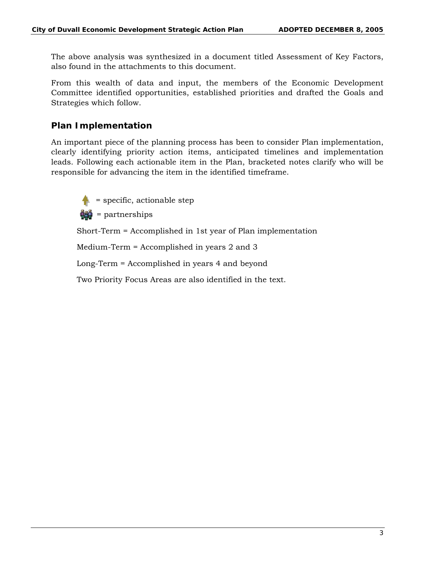The above analysis was synthesized in a document titled Assessment of Key Factors, also found in the attachments to this document.

From this wealth of data and input, the members of the Economic Development Committee identified opportunities, established priorities and drafted the Goals and Strategies which follow.

#### **Plan Implementation**

An important piece of the planning process has been to consider Plan implementation, clearly identifying priority action items, anticipated timelines and implementation leads. Following each actionable item in the Plan, bracketed notes clarify who will be responsible for advancing the item in the identified timeframe.



= specific, actionable step

 $\frac{1}{2}$  = partnerships

Short-Term = Accomplished in 1st year of Plan implementation

Medium-Term = Accomplished in years 2 and 3

Long-Term = Accomplished in years 4 and beyond

Two Priority Focus Areas are also identified in the text.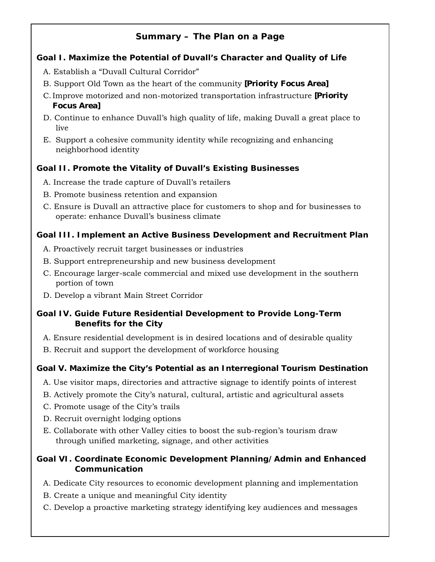# **Summary –** *The Plan on a Page*

## **Goal I. Maximize the Potential of Duvall's Character and Quality of Life**

- A. Establish a "Duvall Cultural Corridor"
- B. Support Old Town as the heart of the community **[Priority Focus Area]**
- C. Improve motorized and non-motorized transportation infrastructure **[Priority Focus Area]**
- D. Continue to enhance Duvall's high quality of life, making Duvall a great place to live
- E. Support a cohesive community identity while recognizing and enhancing neighborhood identity

# **Goal II. Promote the Vitality of Duvall's Existing Businesses**

- A. Increase the trade capture of Duvall's retailers
- B. Promote business retention and expansion
- C. Ensure is Duvall an attractive place for customers to shop and for businesses to operate: enhance Duvall's business climate

#### **Goal III. Implement an Active Business Development and Recruitment Plan**

- A. Proactively recruit target businesses or industries
- B. Support entrepreneurship and new business development
- C. Encourage larger-scale commercial and mixed use development in the southern portion of town
- D. Develop a vibrant Main Street Corridor

#### **Goal IV. Guide Future Residential Development to Provide Long-Term Benefits for the City**

- A. Ensure residential development is in desired locations and of desirable quality
- B. Recruit and support the development of workforce housing

# **Goal V. Maximize the City's Potential as an Interregional Tourism Destination**

- A. Use visitor maps, directories and attractive signage to identify points of interest
- B. Actively promote the City's natural, cultural, artistic and agricultural assets
- C. Promote usage of the City's trails
- D. Recruit overnight lodging options
- E. Collaborate with other Valley cities to boost the sub-region's tourism draw through unified marketing, signage, and other activities

## **Goal VI. Coordinate Economic Development Planning/Admin and Enhanced Communication**

- A. Dedicate City resources to economic development planning and implementation
- B. Create a unique and meaningful City identity
- C. Develop a proactive marketing strategy identifying key audiences and messages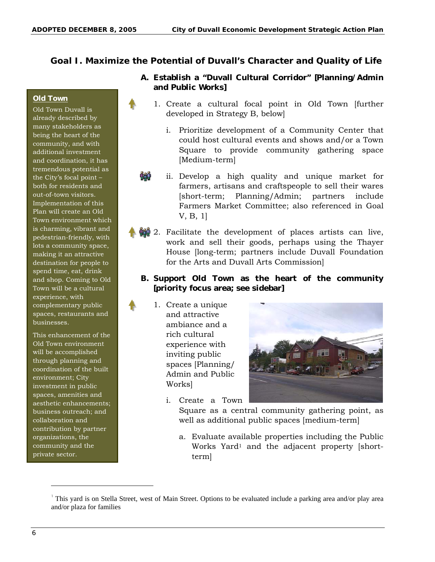#### **Goal I. Maximize the Potential of Duvall's Character and Quality of Life**

#### **Old Town**

Old Town Duvall is already described by many stakeholders as being the heart of the community, and with additional investment and coordination, it has tremendous potential as the City's focal point – both for residents and out-of-town visitors. Implementation of this Plan will create an Old Town environment which is charming, vibrant and pedestrian-friendly, with lots a community space, making it an attractive destination for people to spend time, eat, drink and shop. Coming to Old Town will be a cultural experience, with complementary public spaces, restaurants and businesses.

This enhancement of the Old Town environment will be accomplished through planning and coordination of the built environment; City investment in public spaces, amenities and aesthetic enhancements; business outreach; and collaboration and contribution by partner organizations, the community and the private sector.

#### **A. Establish a "Duvall Cultural Corridor" [Planning/Admin and Public Works]**

- 1. Create a cultural focal point in Old Town [further developed in Strategy B, below]
	- i. Prioritize development of a Community Center that could host cultural events and shows and/or a Town Square to provide community gathering space [Medium-term]
	- ii. Develop a high quality and unique market for farmers, artisans and craftspeople to sell their wares [short-term; Planning/Admin; partners include Farmers Market Committee; also referenced in Goal V, B, 1]
- 2. Facilitate the development of places artists can live, work and sell their goods, perhaps using the Thayer House [long-term; partners include Duvall Foundation for the Arts and Duvall Arts Commission]

#### **B. Support Old Town as the heart of the community [priority focus area; see sidebar]**

1. Create a unique and attractive ambiance and a rich cultural experience with inviting public spaces [Planning/ Admin and Public Works]



- Square as a central community gathering point, as well as additional public spaces [medium-term]
- a. Evaluate available properties including the Public Works Yard<sup>1</sup> and the adjacent property [shortterm]

-

<sup>1</sup> This yard is on Stella Street, west of Main Street. Options to be evaluated include a parking area and/or play area and/or plaza for families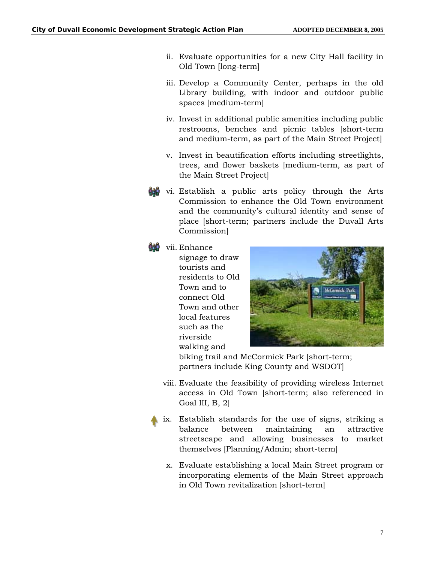- ii. Evaluate opportunities for a new City Hall facility in Old Town [long-term]
- iii. Develop a Community Center, perhaps in the old Library building, with indoor and outdoor public spaces [medium-term]
- iv. Invest in additional public amenities including public restrooms, benches and picnic tables [short-term and medium-term, as part of the Main Street Project]
- v. Invest in beautification efforts including streetlights, trees, and flower baskets [medium-term, as part of the Main Street Project]
- vi. Establish a public arts policy through the Arts Commission to enhance the Old Town environment and the community's cultural identity and sense of place [short-term; partners include the Duvall Arts Commission]

#### vii. Enhance

signage to draw tourists and residents to Old Town and to connect Old Town and other local features such as the riverside walking and



biking trail and McCormick Park [short-term; partners include King County and WSDOT]

- viii. Evaluate the feasibility of providing wireless Internet access in Old Town [short-term; also referenced in Goal III, B, 2]
- ix. Establish standards for the use of signs, striking a balance between maintaining an attractive streetscape and allowing businesses to market themselves [Planning/Admin; short-term]
	- x. Evaluate establishing a local Main Street program or incorporating elements of the Main Street approach in Old Town revitalization [short-term]

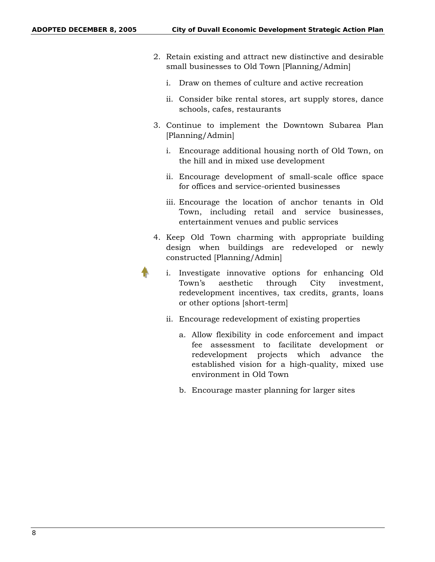- 2. Retain existing and attract new distinctive and desirable small businesses to Old Town [Planning/Admin]
	- i. Draw on themes of culture and active recreation
	- ii. Consider bike rental stores, art supply stores, dance schools, cafes, restaurants
- 3. Continue to implement the Downtown Subarea Plan [Planning/Admin]
	- i. Encourage additional housing north of Old Town, on the hill and in mixed use development
	- ii. Encourage development of small-scale office space for offices and service-oriented businesses
	- iii. Encourage the location of anchor tenants in Old Town, including retail and service businesses, entertainment venues and public services
- 4. Keep Old Town charming with appropriate building design when buildings are redeveloped or newly constructed [Planning/Admin]
	- i. Investigate innovative options for enhancing Old Town's aesthetic through City investment, redevelopment incentives, tax credits, grants, loans or other options [short-term]
		- ii. Encourage redevelopment of existing properties
			- a. Allow flexibility in code enforcement and impact fee assessment to facilitate development or redevelopment projects which advance the established vision for a high-quality, mixed use environment in Old Town
			- b. Encourage master planning for larger sites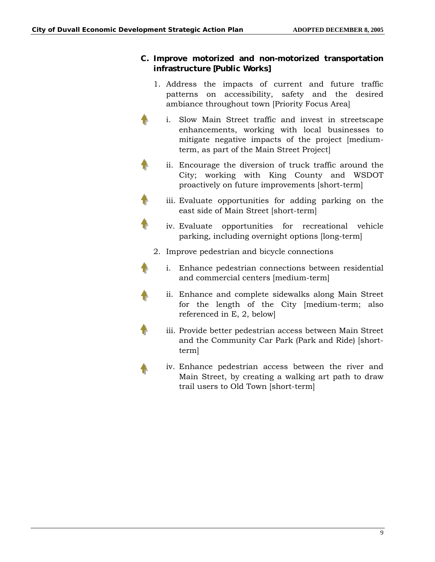#### **C. Improve motorized and non-motorized transportation infrastructure [Public Works]**

- 1. Address the impacts of current and future traffic patterns on accessibility, safety and the desired ambiance throughout town [Priority Focus Area]
- i. Slow Main Street traffic and invest in streetscape enhancements, working with local businesses to mitigate negative impacts of the project [mediumterm, as part of the Main Street Project]
- ii. Encourage the diversion of truck traffic around the City; working with King County and WSDOT proactively on future improvements [short-term]
- iii. Evaluate opportunities for adding parking on the east side of Main Street [short-term]
	- iv. Evaluate opportunities for recreational vehicle parking, including overnight options [long-term]
- 2. Improve pedestrian and bicycle connections
- i. Enhance pedestrian connections between residential and commercial centers [medium-term]
	- ii. Enhance and complete sidewalks along Main Street for the length of the City [medium-term; also referenced in E, 2, below]
- iii. Provide better pedestrian access between Main Street and the Community Car Park (Park and Ride) [shortterm]
	- iv. Enhance pedestrian access between the river and Main Street, by creating a walking art path to draw trail users to Old Town [short-term]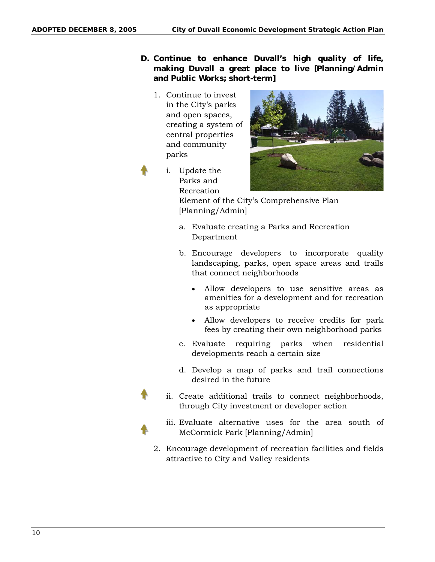- **D. Continue to enhance Duvall's high quality of life, making Duvall a great place to live [Planning/Admin and Public Works; short-term]** 
	- 1. Continue to invest in the City's parks and open spaces, creating a system of central properties and community parks
	- i. Update the Parks and Recreation



Element of the City's Comprehensive Plan [Planning/Admin]

- a. Evaluate creating a Parks and Recreation Department
- b. Encourage developers to incorporate quality landscaping, parks, open space areas and trails that connect neighborhoods
	- Allow developers to use sensitive areas as amenities for a development and for recreation as appropriate
	- Allow developers to receive credits for park fees by creating their own neighborhood parks
- c. Evaluate requiring parks when residential developments reach a certain size
- d. Develop a map of parks and trail connections desired in the future
- ii. Create additional trails to connect neighborhoods, through City investment or developer action
- 
- iii. Evaluate alternative uses for the area south of McCormick Park [Planning/Admin]
- 2. Encourage development of recreation facilities and fields attractive to City and Valley residents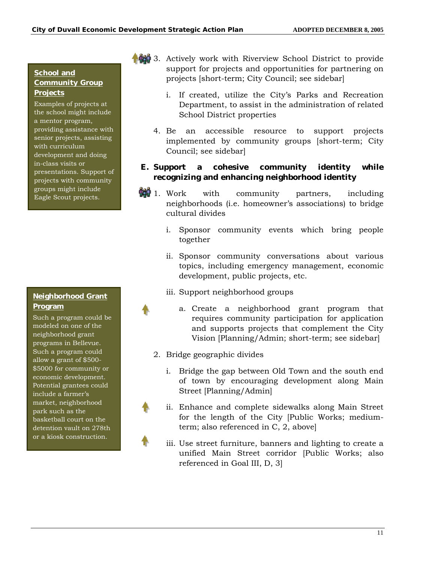#### **School and Community Group Projects**

Examples of projects at the school might include a mentor program, providing assistance with senior projects, assisting with curriculum development and doing in-class visits or presentations. Support of projects with community groups might include Eagle Scout projects.

#### **Neighborhood Grant Program**

Such a program could be modeled on one of the neighborhood grant programs in Bellevue. Such a program could allow a grant of \$500- \$5000 for community or economic development. Potential grantees could include a farmer's market, neighborhood park such as the basketball court on the detention vault on 278th or a kiosk construction.

- 3. Actively work with Riverview School District to provide support for projects and opportunities for partnering on projects [short-term; City Council; see sidebar]
	- i. If created, utilize the City's Parks and Recreation Department, to assist in the administration of related School District properties
	- 4. Be an accessible resource to support projects implemented by community groups [short-term; City Council; see sidebar]

#### **E. Support a cohesive community identity while recognizing and enhancing neighborhood identity**

- **1.** Work with community partners, including neighborhoods (i.e. homeowner's associations) to bridge cultural divides
	- i. Sponsor community events which bring people together
	- ii. Sponsor community conversations about various topics, including emergency management, economic development, public projects, etc.
	- iii. Support neighborhood groups
		- a. Create a neighborhood grant program that requires community participation for application and supports projects that complement the City Vision [Planning/Admin; short-term; see sidebar]
	- 2. Bridge geographic divides
		- i. Bridge the gap between Old Town and the south end of town by encouraging development along Main Street [Planning/Admin]
		- ii. Enhance and complete sidewalks along Main Street for the length of the City [Public Works; mediumterm; also referenced in C, 2, above]
		- iii. Use street furniture, banners and lighting to create a unified Main Street corridor [Public Works; also referenced in Goal III, D, 3]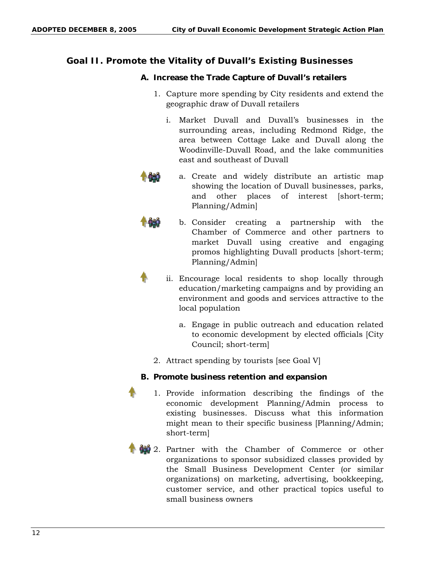## **Goal II. Promote the Vitality of Duvall's Existing Businesses**

#### **A. Increase the Trade Capture of Duvall's retailers**

- 1. Capture more spending by City residents and extend the geographic draw of Duvall retailers
	- i. Market Duvall and Duvall's businesses in the surrounding areas, including Redmond Ridge, the area between Cottage Lake and Duvall along the Woodinville-Duvall Road, and the lake communities east and southeast of Duvall



a. Create and widely distribute an artistic map showing the location of Duvall businesses, parks, and other places of interest [short-term; Planning/Admin]



- b. Consider creating a partnership with the Chamber of Commerce and other partners to market Duvall using creative and engaging promos highlighting Duvall products [short-term; Planning/Admin]
- ii. Encourage local residents to shop locally through education/marketing campaigns and by providing an environment and goods and services attractive to the local population
	- a. Engage in public outreach and education related to economic development by elected officials [City Council; short-term]
- 2. Attract spending by tourists [see Goal V]

#### **B. Promote business retention and expansion**

- 1. Provide information describing the findings of the economic development Planning/Admin process to existing businesses. Discuss what this information might mean to their specific business [Planning/Admin; short-term]
- 2. Partner with the Chamber of Commerce or other organizations to sponsor subsidized classes provided by the Small Business Development Center (or similar organizations) on marketing, advertising, bookkeeping, customer service, and other practical topics useful to small business owners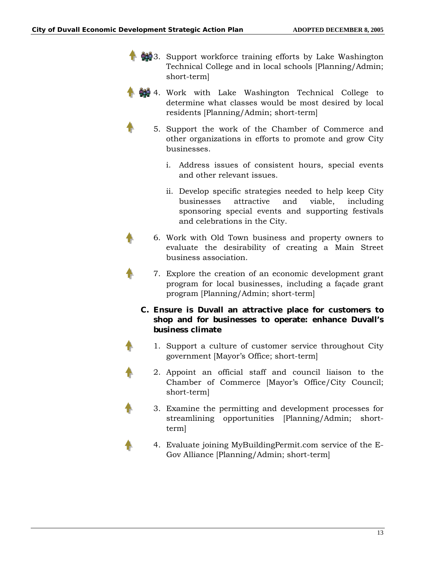

- 4. Work with Lake Washington Technical College to determine what classes would be most desired by local residents [Planning/Admin; short-term]
	- 5. Support the work of the Chamber of Commerce and other organizations in efforts to promote and grow City businesses.
		- i. Address issues of consistent hours, special events and other relevant issues.
		- ii. Develop specific strategies needed to help keep City businesses attractive and viable, including sponsoring special events and supporting festivals and celebrations in the City.
	- 6. Work with Old Town business and property owners to evaluate the desirability of creating a Main Street business association.
	- 7. Explore the creation of an economic development grant program for local businesses, including a façade grant program [Planning/Admin; short-term]

#### **C. Ensure is Duvall an attractive place for customers to shop and for businesses to operate: enhance Duvall's business climate**

- 1. Support a culture of customer service throughout City government [Mayor's Office; short-term]
- 2. Appoint an official staff and council liaison to the Chamber of Commerce [Mayor's Office/City Council; short-term]
	- 3. Examine the permitting and development processes for streamlining opportunities [Planning/Admin; shortterm]
		- 4. Evaluate joining MyBuildingPermit.com service of the E-Gov Alliance [Planning/Admin; short-term]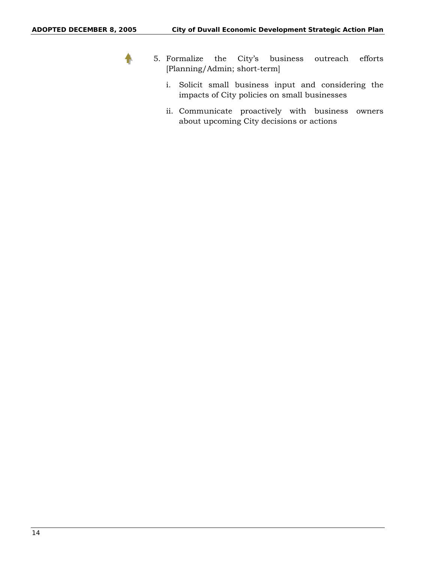

- 5. Formalize the City's business outreach efforts [Planning/Admin; short-term]
	- i. Solicit small business input and considering the impacts of City policies on small businesses
	- ii. Communicate proactively with business owners about upcoming City decisions or actions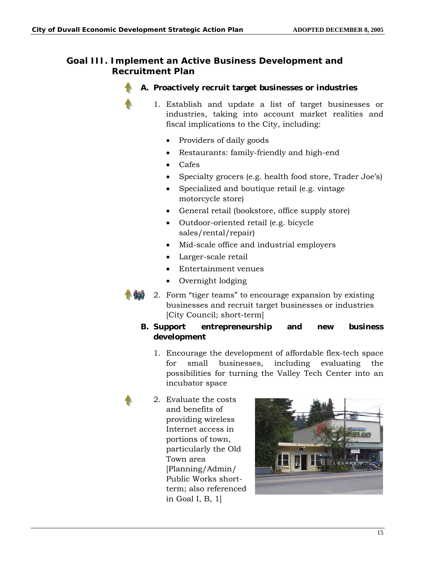#### **Goal III. Implement an Active Business Development and Recruitment Plan**



- **A. Proactively recruit target businesses or industries** 
	- 1. Establish and update a list of target businesses or industries, taking into account market realities and fiscal implications to the City, including:
		- Providers of daily goods
		- Restaurants: family-friendly and high-end
		- Cafes
		- Specialty grocers (e.g. health food store, Trader Joe's)
		- Specialized and boutique retail (e.g. vintage motorcycle store)
		- General retail (bookstore, office supply store)
		- Outdoor-oriented retail (e.g. bicycle sales/rental/repair)
		- Mid-scale office and industrial employers
		- Larger-scale retail
		- Entertainment venues
		- Overnight lodging
- 2. Form "tiger teams" to encourage expansion by existing businesses and recruit target businesses or industries [City Council; short-term]

#### **B. Support entrepreneurship and new business development**

- 1. Encourage the development of affordable flex-tech space for small businesses, including evaluating the possibilities for turning the Valley Tech Center into an incubator space
- 2. Evaluate the costs and benefits of providing wireless Internet access in portions of town, particularly the Old Town area [Planning/Admin/ Public Works shortterm; also referenced in Goal I, B, 1]

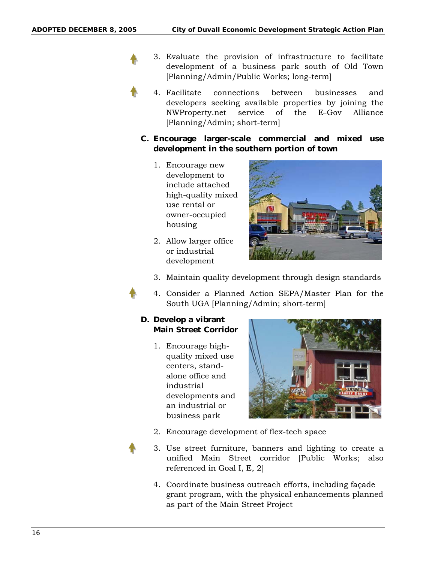- 3. Evaluate the provision of infrastructure to facilitate development of a business park south of Old Town [Planning/Admin/Public Works; long-term]
- 4. Facilitate connections between businesses and developers seeking available properties by joining the NWProperty.net service of the E-Gov Alliance [Planning/Admin; short-term]
- **C. Encourage larger-scale commercial and mixed use development in the southern portion of town** 
	- 1. Encourage new development to include attached high-quality mixed use rental or owner-occupied housing
	- 2. Allow larger office or industrial development



- 3. Maintain quality development through design standards
- 4. Consider a Planned Action SEPA/Master Plan for the South UGA [Planning/Admin; short-term]

#### **D. Develop a vibrant Main Street Corridor**

1. Encourage highquality mixed use centers, standalone office and industrial developments and an industrial or business park



- 2. Encourage development of flex-tech space
- 3. Use street furniture, banners and lighting to create a unified Main Street corridor [Public Works; also referenced in Goal I, E, 2]
- 4. Coordinate business outreach efforts, including façade grant program, with the physical enhancements planned as part of the Main Street Project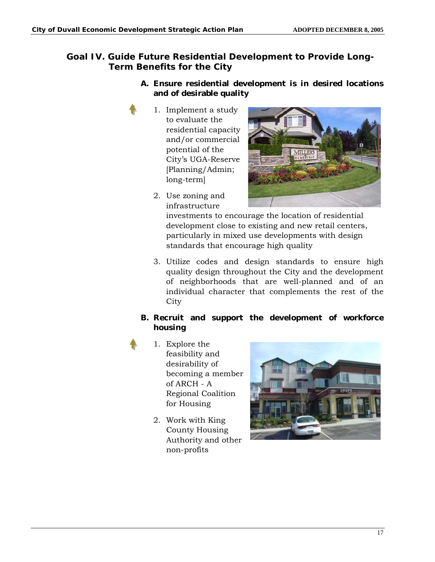# **Goal IV. Guide Future Residential Development to Provide Long-Term Benefits for the City**

#### **A. Ensure residential development is in desired locations and of desirable quality**

- 1. Implement a study to evaluate the residential capacity and/or commercial potential of the City's UGA-Reserve [Planning/Admin; long-term]
- 
- 2. Use zoning and infrastructure

investments to encourage the location of residential development close to existing and new retail centers, particularly in mixed use developments with design standards that encourage high quality

3. Utilize codes and design standards to ensure high quality design throughout the City and the development of neighborhoods that are well-planned and of an individual character that complements the rest of the **City** 

#### **B. Recruit and support the development of workforce housing**

- 1. Explore the feasibility and desirability of becoming a member of ARCH - A Regional Coalition for Housing
	- 2. Work with King County Housing Authority and other non-profits

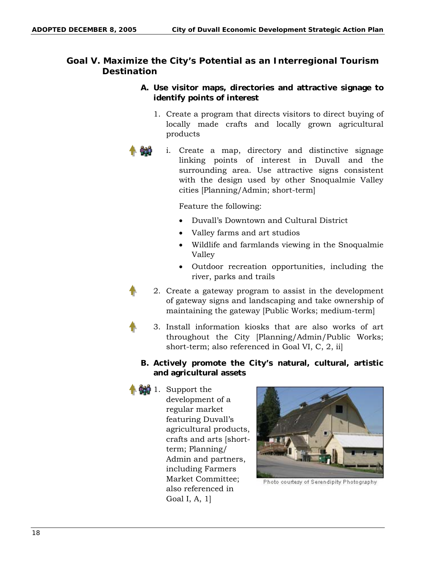## **Goal V. Maximize the City's Potential as an Interregional Tourism Destination**

#### **A. Use visitor maps, directories and attractive signage to identify points of interest**

- 1. Create a program that directs visitors to direct buying of locally made crafts and locally grown agricultural products
- i. Create a map, directory and distinctive signage linking points of interest in Duvall and the surrounding area. Use attractive signs consistent with the design used by other Snoqualmie Valley cities [Planning/Admin; short-term]

#### Feature the following:

- Duvall's Downtown and Cultural District
- Valley farms and art studios
- Wildlife and farmlands viewing in the Snoqualmie Valley
- Outdoor recreation opportunities, including the river, parks and trails
- 2. Create a gateway program to assist in the development of gateway signs and landscaping and take ownership of maintaining the gateway [Public Works; medium-term]
	- 3. Install information kiosks that are also works of art throughout the City [Planning/Admin/Public Works; short-term; also referenced in Goal VI, C, 2, ii]

#### **B. Actively promote the City's natural, cultural, artistic and agricultural assets**



 $\frac{1}{2}$  1. Support the development of a regular market featuring Duvall's agricultural products, crafts and arts [shortterm; Planning/ Admin and partners, including Farmers Market Committee; also referenced in Goal I, A, 1]



Photo courtesy of Serendipity Photography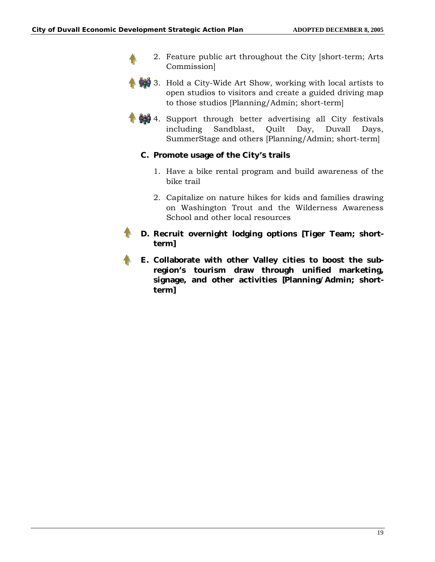- 2. Feature public art throughout the City [short-term; Arts Commission]
- **149** 3. Hold a City-Wide Art Show, working with local artists to open studios to visitors and create a guided driving map to those studios [Planning/Admin; short-term]
- **4.** Support through better advertising all City festivals including Sandblast, Quilt Day, Duvall Days, SummerStage and others [Planning/Admin; short-term]

#### **C. Promote usage of the City's trails**

- 1. Have a bike rental program and build awareness of the bike trail
- 2. Capitalize on nature hikes for kids and families drawing on Washington Trout and the Wilderness Awareness School and other local resources
- **D. Recruit overnight lodging options [Tiger Team; shortterm]**
- **E. Collaborate with other Valley cities to boost the subregion's tourism draw through unified marketing, signage, and other activities [Planning/Admin; shortterm]**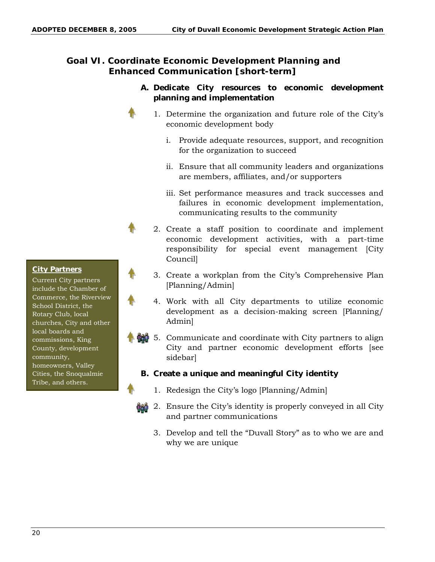# **Goal VI. Coordinate Economic Development Planning and Enhanced Communication [short-term]**

#### **A. Dedicate City resources to economic development planning and implementation**

- 1. Determine the organization and future role of the City's economic development body
	- i. Provide adequate resources, support, and recognition for the organization to succeed
	- ii. Ensure that all community leaders and organizations are members, affiliates, and/or supporters
	- iii. Set performance measures and track successes and failures in economic development implementation, communicating results to the community
- 2. Create a staff position to coordinate and implement economic development activities, with a part-time responsibility for special event management [City Council]
- 3. Create a workplan from the City's Comprehensive Plan [Planning/Admin]
- 4. Work with all City departments to utilize economic development as a decision-making screen [Planning/ Admin]
- 5. Communicate and coordinate with City partners to align City and partner economic development efforts [see sidebar]

#### **B. Create a unique and meaningful City identity**

- 1. Redesign the City's logo [Planning/Admin]
- 2. Ensure the City's identity is properly conveyed in all City and partner communications
	- 3. Develop and tell the "Duvall Story" as to who we are and why we are unique

#### **City Partners**

Current City partners include the Chamber of Commerce, the Riverview School District, the Rotary Club, local churches, City and other local boards and commissions, King County, development community, homeowners, Valley Cities, the Snoqualmie Tribe, and others.